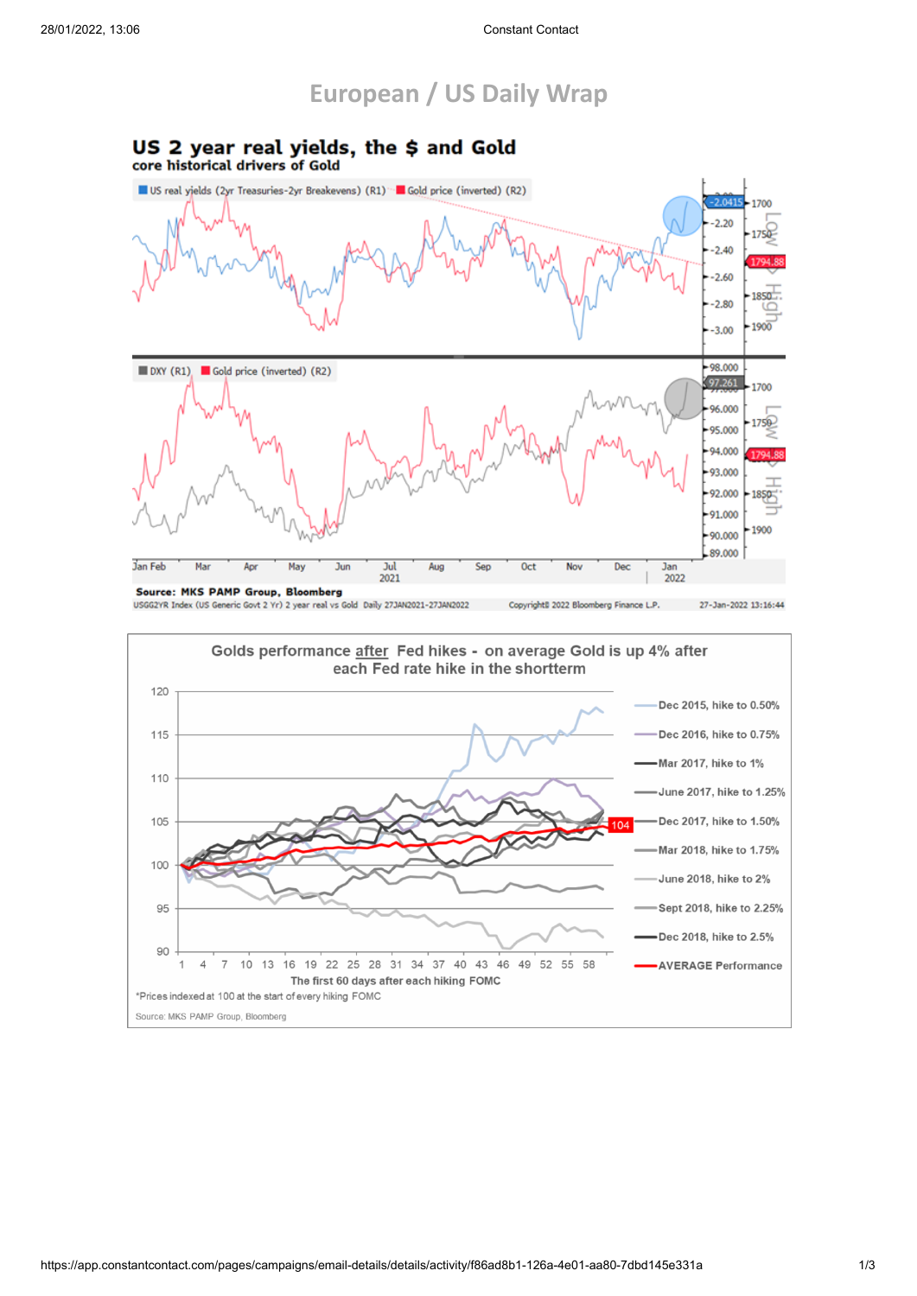## **European / US Daily Wrap**

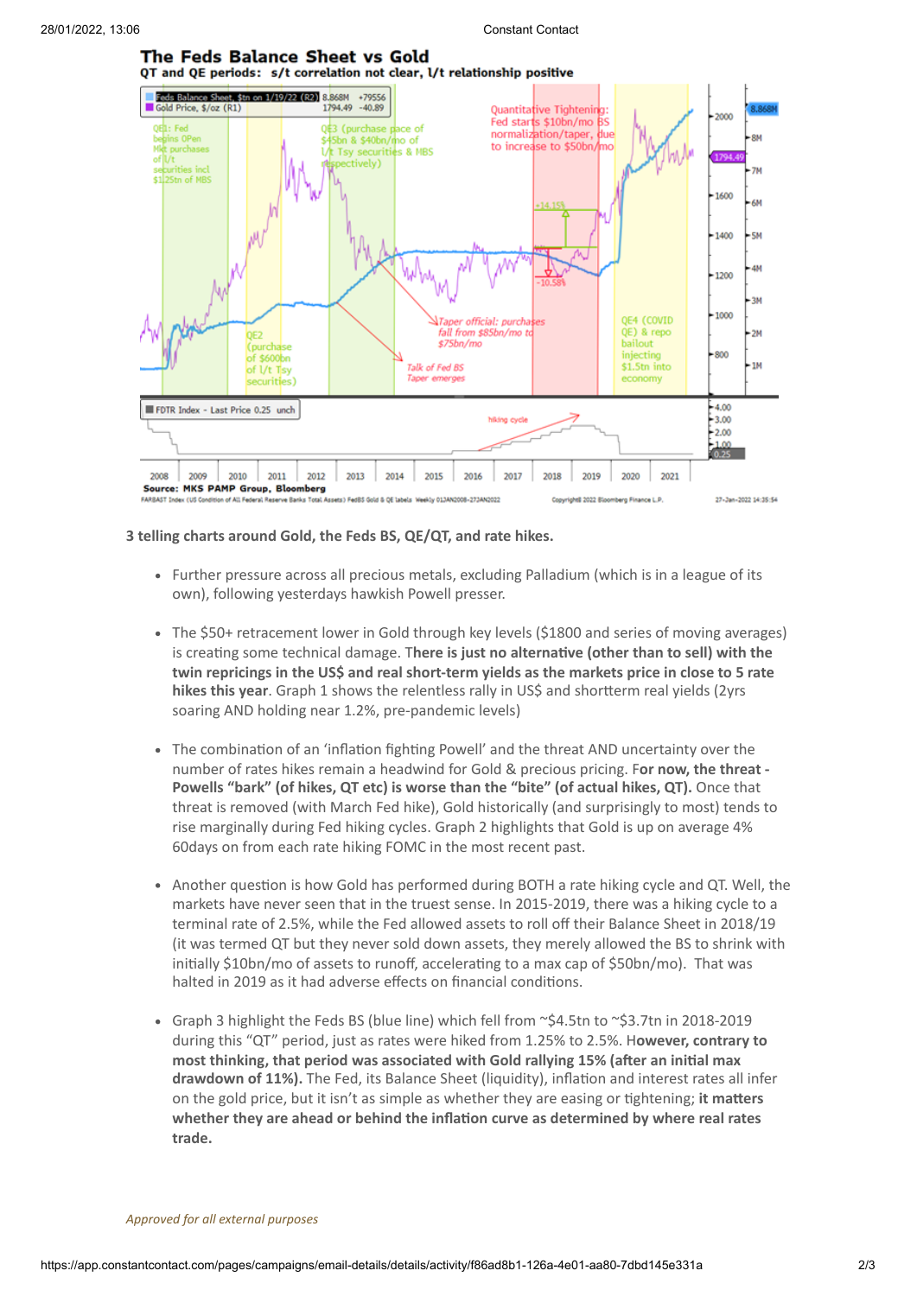

## **3 telling charts around Gold, the Feds BS, QE/QT, and rate hikes.**

ve Banks To

Further pressure across all precious metals, excluding Palladium (which is in a league of its own), following yesterdays hawkish Powell presser.

ekty 013AN2008-273AN2022

8 2022 B

27-Jan-2022 14:35:54

- The \$50+ retracement lower in Gold through key levels (\$1800 and series of moving averages) is creating some technical damage. T**here is just no alternative (other than to sell) with the twin repricings in the US\$ and real short-term yields as the markets price in close to 5 rate hikes this year**. Graph 1 shows the relentless rally in US\$ and shortterm real yields (2yrs soaring AND holding near 1.2%, pre-pandemic levels)
- The combination of an 'inflation fighting Powell' and the threat AND uncertainty over the number of rates hikes remain a headwind for Gold & precious pricing. F**or now, the threat - Powells "bark" (of hikes, QT etc) is worse than the "bite" (of actual hikes, QT).** Once that threat is removed (with March Fed hike), Gold historically (and surprisingly to most) tends to rise marginally during Fed hiking cycles. Graph 2 highlights that Gold is up on average 4% 60days on from each rate hiking FOMC in the most recent past.
- Another question is how Gold has performed during BOTH a rate hiking cycle and QT. Well, the markets have never seen that in the truest sense. In 2015-2019, there was a hiking cycle to a terminal rate of 2.5%, while the Fed allowed assets to roll off their Balance Sheet in 2018/19 (it was termed QT but they never sold down assets, they merely allowed the BS to shrink with initially \$10bn/mo of assets to runoff, accelerating to a max cap of \$50bn/mo). That was halted in 2019 as it had adverse effects on financial conditions.
- Graph 3 highlight the Feds BS (blue line) which fell from ~\$4.5tn to ~\$3.7tn in 2018-2019 during this "QT" period, just as rates were hiked from 1.25% to 2.5%. H**owever, contrary to most thinking, that period was associated with Gold rallying 15% (after an initial max drawdown of 11%).** The Fed, its Balance Sheet (liquidity), inflation and interest rates all infer on the gold price, but it isn't as simple as whether they are easing or tightening; **it matters whether they are ahead or behind the inflation curve as determined by where real rates trade.**